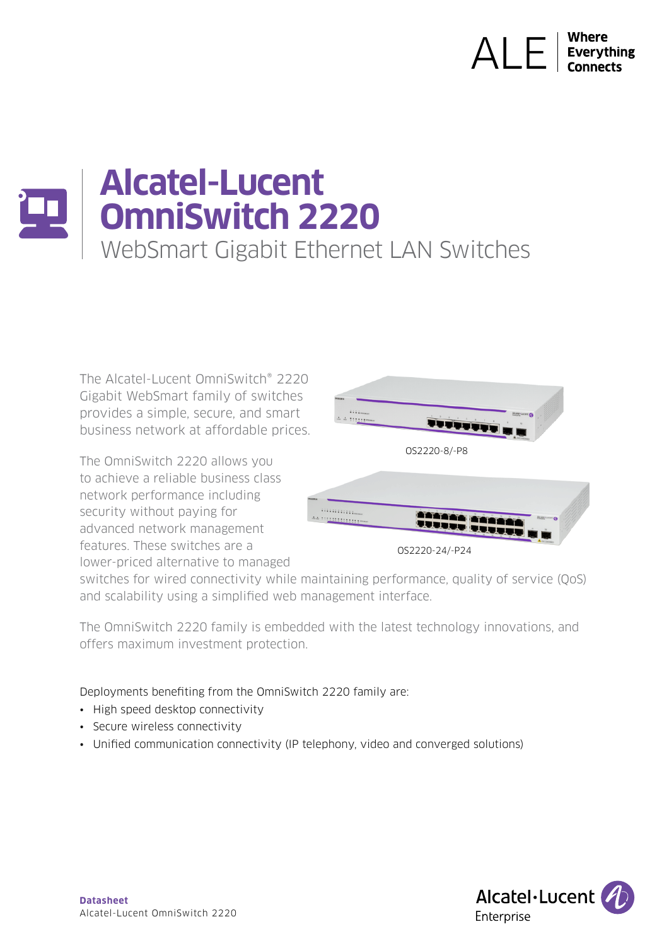# **ALE Everything**

# **Alcatel-Lucent OmniSwitch 2220**  WebSmart Gigabit Ethernet LAN Switches

The Alcatel-Lucent OmniSwitch® 2220 Gigabit WebSmart family of switches provides a simple, secure, and smart business network at affordable prices.

The OmniSwitch 2220 allows you to achieve a reliable business class network performance including security without paying for advanced network management features. These switches are a lower-priced alternative to managed





switches for wired connectivity while maintaining performance, quality of service (QoS) and scalability using a simplified web management interface.

The OmniSwitch 2220 family is embedded with the latest technology innovations, and offers maximum investment protection.

Deployments benefiting from the OmniSwitch 2220 family are:

- High speed desktop connectivity
- Secure wireless connectivity
- Unified communication connectivity (IP telephony, video and converged solutions)

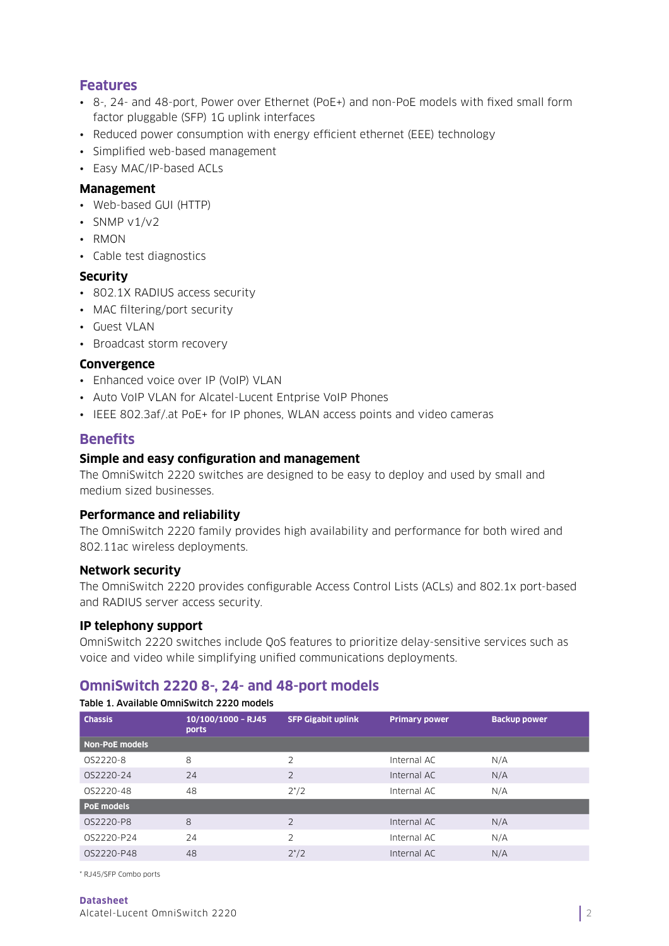# **Features**

- 8-, 24- and 48-port, Power over Ethernet (PoE+) and non-PoE models with fixed small form factor pluggable (SFP) 1G uplink interfaces
- Reduced power consumption with energy efficient ethernet (EEE) technology
- Simplified web-based management
- Easy MAC/IP-based ACLs

# **Management**

- Web-based GUI (HTTP)
- SNMP  $v1/v2$
- RMON
- Cable test diagnostics

# **Security**

- 802.1X RADIUS access security
- MAC filtering/port security
- Guest VLAN
- Broadcast storm recovery

# **Convergence**

- Enhanced voice over IP (VoIP) VLAN
- Auto VoIP VLAN for Alcatel-Lucent Entprise VoIP Phones
- IEEE 802.3af/.at PoE+ for IP phones, WLAN access points and video cameras

# **Benefits**

# **Simple and easy configuration and management**

The OmniSwitch 2220 switches are designed to be easy to deploy and used by small and medium sized businesses.

#### **Performance and reliability**

The OmniSwitch 2220 family provides high availability and performance for both wired and 802.11ac wireless deployments.

# **Network security**

The OmniSwitch 2220 provides configurable Access Control Lists (ACLs) and 802.1x port-based and RADIUS server access security.

# **IP telephony support**

OmniSwitch 2220 switches include QoS features to prioritize delay-sensitive services such as voice and video while simplifying unified communications deployments.

# **OmniSwitch 2220 8-, 24- and 48-port models**

| <b>Chassis</b>    | 10/100/1000 - RJ45<br>ports | <b>SFP Gigabit uplink</b> | <b>Primary power</b> | <b>Backup power</b> |
|-------------------|-----------------------------|---------------------------|----------------------|---------------------|
| Non-PoE models    |                             |                           |                      |                     |
| OS2220-8          | 8                           | $\overline{2}$            | Internal AC          | N/A                 |
| OS2220-24         | 24                          | 2                         | Internal AC          | N/A                 |
| 0S2220-48         | 48                          | $2^{*/2}$                 | Internal AC          | N/A                 |
| <b>PoE models</b> |                             |                           |                      |                     |
| OS2220-P8         | 8                           | $\overline{2}$            | Internal AC          | N/A                 |
| OS2220-P24        | 24                          | $\overline{2}$            | Internal AC          | N/A                 |
| OS2220-P48        | 48                          | $2^{*/2}$                 | Internal AC          | N/A                 |

\* RJ45/SFP Combo ports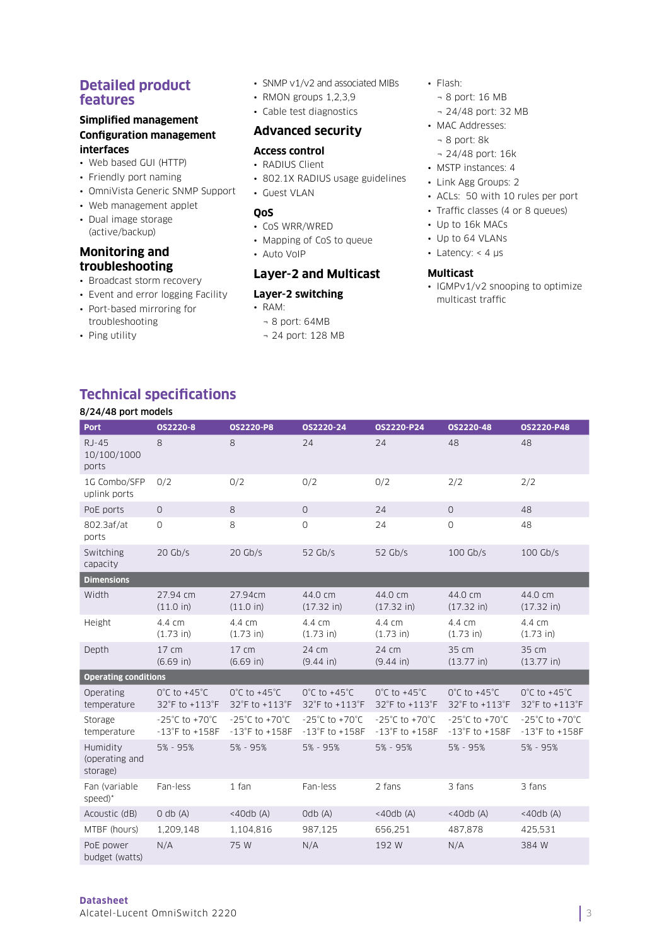# **Detailed product features**

#### **Simplified management Configuration management interfaces**

- Web based GUI (HTTP)
- Friendly port naming
- OmniVista Generic SNMP Support
- Web management applet
- Dual image storage (active/backup)

# **Monitoring and troubleshooting**

8/24/48 port models

- Broadcast storm recovery
- Event and error logging Facility

**Technical specifications**

- Port-based mirroring for troubleshooting
- Ping utility
- SNMP v1/v2 and associated MIBs
- RMON groups 1,2,3,9
- Cable test diagnostics

# **Advanced security**

#### **Access control**

- RADIUS Client
- 802.1X RADIUS usage guidelines
- Guest VLAN

#### **QoS**

- CoS WRR/WRED
- Mapping of CoS to queue
- Auto VoIP

# **Layer-2 and Multicast**

- **Layer-2 switching**
- RAM:
	- ¬ 8 port: 64MB
	- ¬ 24 port: 128 MB
- Flash:
	- ¬ 8 port: 16 MB
	- ¬ 24/48 port: 32 MB
- MAC Addresses:
	- ¬ 8 port: 8k
	- ¬ 24/48 port: 16k
- MSTP instances: 4
- Link Agg Groups: 2
- ACLs: 50 with 10 rules per port
- Traffic classes (4 or 8 queues)
- Up to 16k MACs
- Up to 64 VLANs
- Latency:  $<$  4  $\mu$ s

#### **Multicast**

• IGMPv1/v2 snooping to optimize multicast traffic

| <b>Port</b>                            | OS2220-8                                                   | <b>0S2220-P8</b>                                                  | OS2220-24                                                  | <b>0S2220-P24</b>                                                 | OS2220-48                                                  | 0S2220-P48                                                        |
|----------------------------------------|------------------------------------------------------------|-------------------------------------------------------------------|------------------------------------------------------------|-------------------------------------------------------------------|------------------------------------------------------------|-------------------------------------------------------------------|
| $RJ-45$<br>10/100/1000<br>ports        | 8                                                          | 8                                                                 | 24                                                         | 24                                                                | 48                                                         | 48                                                                |
| 1G Combo/SFP<br>uplink ports           | 0/2                                                        | 0/2                                                               | 0/2                                                        | 0/2                                                               | 2/2                                                        | 2/2                                                               |
| PoE ports                              | $\circ$                                                    | 8                                                                 | $\circ$                                                    | 24                                                                | $\overline{O}$                                             | 48                                                                |
| 802.3af/at<br>ports                    | $\circ$                                                    | 8                                                                 | $\mathbf{O}$                                               | 24                                                                | $\circ$                                                    | 48                                                                |
| Switching<br>capacity                  | $20$ Gb/s                                                  | $20$ Gb/s                                                         | $52$ Gb/s                                                  | $52$ Gb/s                                                         | 100 Gb/s                                                   | $100$ Gb/s                                                        |
| <b>Dimensions</b>                      |                                                            |                                                                   |                                                            |                                                                   |                                                            |                                                                   |
| Width                                  | 27.94 cm<br>(11.0 in)                                      | 27.94cm<br>(11.0 in)                                              | 44.0 cm<br>(17.32 in)                                      | 44.0 cm<br>(17.32 in)                                             | 44.0 cm<br>(17.32 in)                                      | 44.0 cm<br>(17.32 in)                                             |
| Height                                 | 4.4 cm<br>$(1.73)$ in)                                     | 4.4 cm<br>(1.73 in)                                               | 4.4 cm<br>$(1.73)$ in)                                     | 4.4 cm<br>(1.73 in)                                               | 4.4 cm<br>$(1.73)$ in)                                     | 4.4 cm<br>$(1.73)$ in)                                            |
| Depth                                  | 17 cm<br>(6.69 in)                                         | 17 cm<br>(6.69 in)                                                | 24 cm<br>$(9.44 \text{ in})$                               | 24 cm<br>(9.44 in)                                                | 35 cm<br>(13.77 in)                                        | 35 cm<br>(13.77 in)                                               |
| <b>Operating conditions</b>            |                                                            |                                                                   |                                                            |                                                                   |                                                            |                                                                   |
| Operating<br>temperature               | $0^{\circ}$ C to +45 $^{\circ}$ C<br>32°F to +113°F        | $0^{\circ}$ C to +45 $^{\circ}$ C<br>32°F to +113°F               | $0^{\circ}$ C to +45 $^{\circ}$ C<br>32°F to +113°F        | $0^{\circ}$ C to +45 $^{\circ}$ C<br>32°F to +113°F               | $0^{\circ}$ C to +45 $^{\circ}$ C<br>32°F to +113°F        | $0^{\circ}$ C to +45 $^{\circ}$ C<br>32°F to +113°F               |
| Storage<br>temperature                 | $-25^{\circ}$ C to $+70^{\circ}$ C<br>$-13°$ F to $+158$ F | $-25^{\circ}$ C to $+70^{\circ}$ C<br>$-13^{\circ}$ F to $+158$ F | $-25^{\circ}$ C to $+70^{\circ}$ C<br>$-13°$ F to $+158$ F | $-25^{\circ}$ C to $+70^{\circ}$ C<br>$-13^{\circ}$ F to $+158$ F | $-25^{\circ}$ C to $+70^{\circ}$ C<br>$-13°$ F to $+158$ F | $-25^{\circ}$ C to $+70^{\circ}$ C<br>$-13^{\circ}$ F to $+158$ F |
| Humidity<br>(operating and<br>storage) | 5% - 95%                                                   | 5% - 95%                                                          | 5% - 95%                                                   | 5% - 95%                                                          | 5% - 95%                                                   | 5% - 95%                                                          |
| Fan (variable<br>speed)*               | Fan-less                                                   | 1 fan                                                             | Fan-less                                                   | 2 fans                                                            | 3 fans                                                     | 3 fans                                                            |
| Acoustic (dB)                          | $0$ db $(A)$                                               | $<$ 40db (A)                                                      | Odb(A)                                                     | $<$ 40db (A)                                                      | $<$ 40db (A)                                               | $<$ 40db (A)                                                      |
| MTBF (hours)                           | 1,209,148                                                  | 1,104,816                                                         | 987,125                                                    | 656,251                                                           | 487,878                                                    | 425,531                                                           |
| PoE power<br>budget (watts)            | N/A                                                        | 75 W                                                              | N/A                                                        | 192 W                                                             | N/A                                                        | 384 W                                                             |